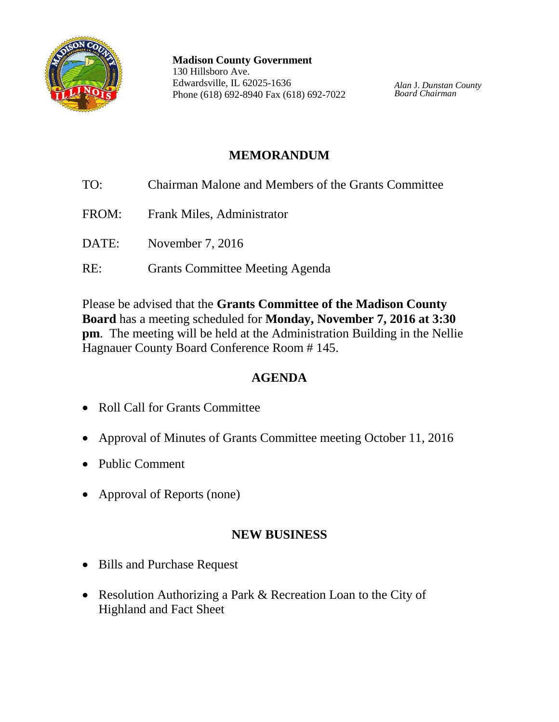

**Madison County Government** 130 Hillsboro Ave. Edwardsville, IL 62025-1636 Phone (618) 692-8940 Fax (618) 692-7022

*Alan* J. *Dunstan County Board Chairman*

# **MEMORANDUM**

TO: Chairman Malone and Members of the Grants Committee FROM: Frank Miles, Administrator DATE: November 7, 2016 RE: Grants Committee Meeting Agenda

Please be advised that the **Grants Committee of the Madison County Board** has a meeting scheduled for **Monday, November 7, 2016 at 3:30 pm**. The meeting will be held at the Administration Building in the Nellie Hagnauer County Board Conference Room # 145.

## **AGENDA**

- Roll Call for Grants Committee
- Approval of Minutes of Grants Committee meeting October 11, 2016
- Public Comment
- Approval of Reports (none)

### **NEW BUSINESS**

- Bills and Purchase Request
- Resolution Authorizing a Park & Recreation Loan to the City of Highland and Fact Sheet